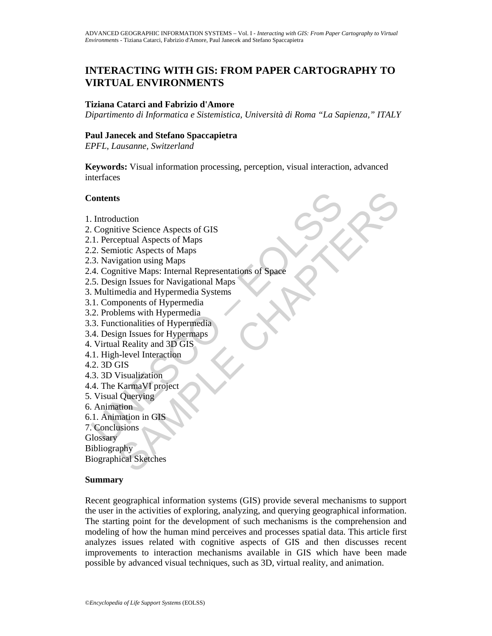# **INTERACTING WITH GIS: FROM PAPER CARTOGRAPHY TO VIRTUAL ENVIRONMENTS**

### **Tiziana Catarci and Fabrizio d'Amore**

*Dipartimento di Informatica e Sistemistica, Università di Roma "La Sapienza," ITALY* 

#### **Paul Janecek and Stefano Spaccapietra**

*EPFL, Lausanne, Switzerland* 

**Keywords:** Visual information processing, perception, visual interaction, advanced interfaces

### **Contents**

- 1. Introduction
- 2. Cognitive Science Aspects of GIS
- 2.1. Perceptual Aspects of Maps
- 2.2. Semiotic Aspects of Maps
- 2.3. Navigation using Maps
- Contents<br>
Consider Science Aspects of GIS<br>
1. Perceptual Aspects of Maps<br>
2. Semiotic Aspects of Maps<br>
2. Semiotic Aspects of Maps<br>
3. Navigation using Maps<br>
3. Navigation using Maps<br>
5. Design Issues for Navigational Maps s<br>
suction<br>
vive Science Aspects of GIS<br>
eptual Aspects of Maps<br>
ionic Aspects of Maps<br>
igation using Maps<br>
gin Issues for Navigrational Maps<br>
militive Maps: Internal Representations of Space<br>
gn Issues for Navigration<br>
pr 2.4. Cognitive Maps: Internal Representations of Space
- 2.5. Design Issues for Navigational Maps
- 3. Multimedia and Hypermedia Systems
- 3.1. Components of Hypermedia
- 3.2. Problems with Hypermedia
- 3.3. Functionalities of Hypermedia
- 3.4. Design Issues for Hypermaps
- 4. Virtual Reality and 3D GIS
- 4.1. High-level Interaction
- 4.2. 3D GIS
- 4.3. 3D Visualization
- 4.4. The KarmaVI project
- 5. Visual Querying
- 6. Animation
- 6.1. Animation in GIS
- 7. Conclusions
- **Glossary**

Bibliography

Biographical Sketches

### **Summary**

Recent geographical information systems (GIS) provide several mechanisms to support the user in the activities of exploring, analyzing, and querying geographical information. The starting point for the development of such mechanisms is the comprehension and modeling of how the human mind perceives and processes spatial data. This article first analyzes issues related with cognitive aspects of GIS and then discusses recent improvements to interaction mechanisms available in GIS which have been made possible by advanced visual techniques, such as 3D, virtual reality, and animation.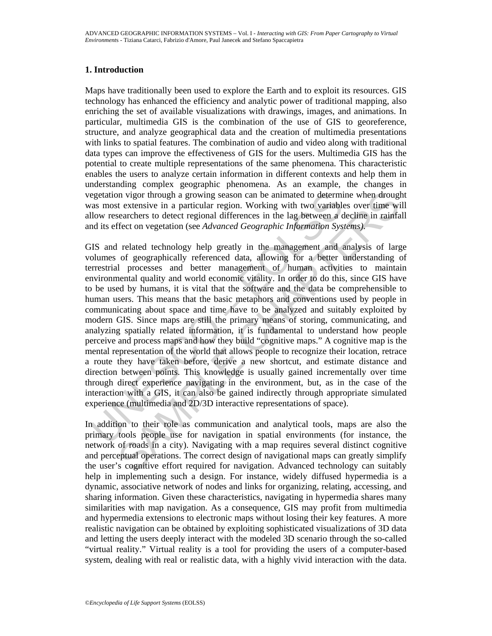### **1. Introduction**

Maps have traditionally been used to explore the Earth and to exploit its resources. GIS technology has enhanced the efficiency and analytic power of traditional mapping, also enriching the set of available visualizations with drawings, images, and animations. In particular, multimedia GIS is the combination of the use of GIS to georeference, structure, and analyze geographical data and the creation of multimedia presentations with links to spatial features. The combination of audio and video along with traditional data types can improve the effectiveness of GIS for the users. Multimedia GIS has the potential to create multiple representations of the same phenomena. This characteristic enables the users to analyze certain information in different contexts and help them in understanding complex geographic phenomena. As an example, the changes in vegetation vigor through a growing season can be animated to determine when drought was most extensive in a particular region. Working with two variables over time will allow researchers to detect regional differences in the lag between a decline in rainfall and its effect on vegetation (see *Advanced Geographic Information Systems)*.

egetation vigor through a growing season can be animated to determias most extensive in a particular region. Working with two variable llow researchers to detect regional differences in the lag between a dist offect on veg In vigor through a growing season can be animated to determine when drough<br>
t extensive in a particular region. Working with two variables over time wis<br>
ecarchers to detect regional differences in the lag between a decli GIS and related technology help greatly in the management and analysis of large volumes of geographically referenced data, allowing for a better understanding of terrestrial processes and better management of human activities to maintain environmental quality and world economic vitality. In order to do this, since GIS have to be used by humans, it is vital that the software and the data be comprehensible to human users. This means that the basic metaphors and conventions used by people in communicating about space and time have to be analyzed and suitably exploited by modern GIS. Since maps are still the primary means of storing, communicating, and analyzing spatially related information, it is fundamental to understand how people perceive and process maps and how they build "cognitive maps." A cognitive map is the mental representation of the world that allows people to recognize their location, retrace a route they have taken before, derive a new shortcut, and estimate distance and direction between points. This knowledge is usually gained incrementally over time through direct experience navigating in the environment, but, as in the case of the interaction with a GIS, it can also be gained indirectly through appropriate simulated experience (multimedia and 2D/3D interactive representations of space).

In addition to their role as communication and analytical tools, maps are also the primary tools people use for navigation in spatial environments (for instance, the network of roads in a city). Navigating with a map requires several distinct cognitive and perceptual operations. The correct design of navigational maps can greatly simplify the user's cognitive effort required for navigation. Advanced technology can suitably help in implementing such a design. For instance, widely diffused hypermedia is a dynamic, associative network of nodes and links for organizing, relating, accessing, and sharing information. Given these characteristics, navigating in hypermedia shares many similarities with map navigation. As a consequence, GIS may profit from multimedia and hypermedia extensions to electronic maps without losing their key features. A more realistic navigation can be obtained by exploiting sophisticated visualizations of 3D data and letting the users deeply interact with the modeled 3D scenario through the so-called "virtual reality." Virtual reality is a tool for providing the users of a computer-based system, dealing with real or realistic data, with a highly vivid interaction with the data.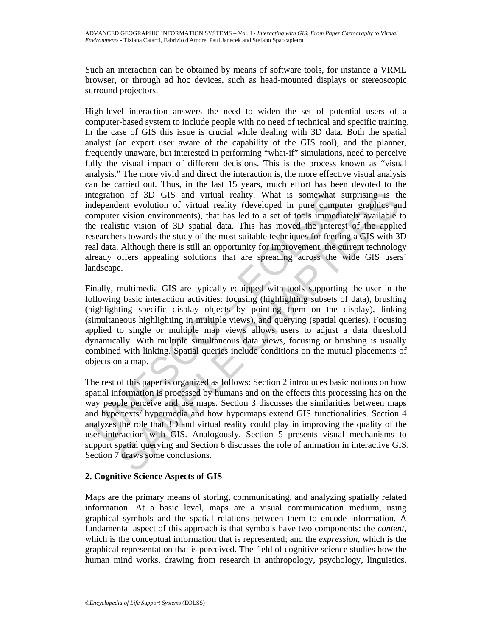Such an interaction can be obtained by means of software tools, for instance a VRML browser, or through ad hoc devices, such as head-mounted displays or stereoscopic surround projectors.

High-level interaction answers the need to widen the set of potential users of a computer-based system to include people with no need of technical and specific training. In the case of GIS this issue is crucial while dealing with 3D data. Both the spatial analyst (an expert user aware of the capability of the GIS tool), and the planner, frequently unaware, but interested in performing "what-if" simulations, need to perceive fully the visual impact of different decisions. This is the process known as "visual analysis." The more vivid and direct the interaction is, the more effective visual analysis can be carried out. Thus, in the last 15 years, much effort has been devoted to the integration of 3D GIS and virtual reality. What is somewhat surprising is the independent evolution of virtual reality (developed in pure computer graphics and computer vision environments), that has led to a set of tools immediately available to the realistic vision of 3D spatial data. This has moved the interest of the applied researchers towards the study of the most suitable techniques for feeding a GIS with 3D real data. Although there is still an opportunity for improvement, the current technology already offers appealing solutions that are spreading across the wide GIS users' landscape.

tegration of 3D GIS and virtual reality. What is somewhat s<br>dependent evolution of virtual reality (developed in pure compu<br>umputer vision environments), that has led to a set of tools immedia<br>e realistic vision of 3D spat on of 3D GIS and virtual reality. What is somewhat surprising is then the volution of virtual reality (developed in pure computer graphics and virtual reality (developed in pure computer graphics and the rision of 3D spati Finally, multimedia GIS are typically equipped with tools supporting the user in the following basic interaction activities: focusing (highlighting subsets of data), brushing (highlighting specific display objects by pointing them on the display), linking (simultaneous highlighting in multiple views), and querying (spatial queries). Focusing applied to single or multiple map views allows users to adjust a data threshold dynamically. With multiple simultaneous data views, focusing or brushing is usually combined with linking. Spatial queries include conditions on the mutual placements of objects on a map.

The rest of this paper is organized as follows: Section 2 introduces basic notions on how spatial information is processed by humans and on the effects this processing has on the way people perceive and use maps. Section 3 discusses the similarities between maps and hypertexts/ hypermedia and how hypermaps extend GIS functionalities. Section 4 analyzes the role that 3D and virtual reality could play in improving the quality of the user interaction with GIS. Analogously, Section 5 presents visual mechanisms to support spatial querying and Section 6 discusses the role of animation in interactive GIS. Section 7 draws some conclusions.

## **2. Cognitive Science Aspects of GIS**

Maps are the primary means of storing, communicating, and analyzing spatially related information. At a basic level, maps are a visual communication medium, using graphical symbols and the spatial relations between them to encode information. A fundamental aspect of this approach is that symbols have two components: the *content*, which is the conceptual information that is represented; and the *expression*, which is the graphical representation that is perceived. The field of cognitive science studies how the human mind works, drawing from research in anthropology, psychology, linguistics,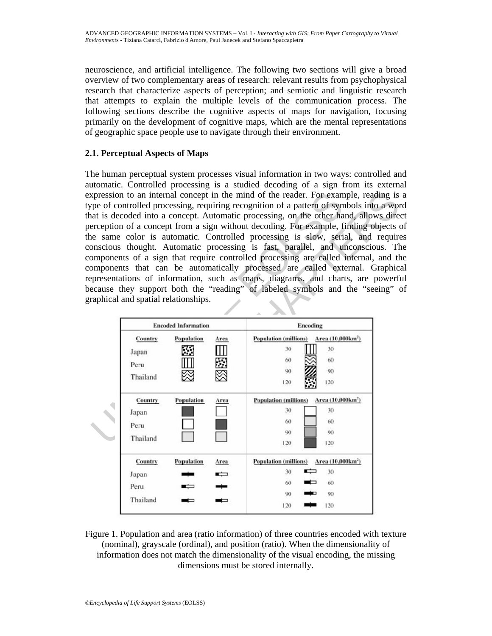neuroscience, and artificial intelligence. The following two sections will give a broad overview of two complementary areas of research: relevant results from psychophysical research that characterize aspects of perception; and semiotic and linguistic research that attempts to explain the multiple levels of the communication process. The following sections describe the cognitive aspects of maps for navigation, focusing primarily on the development of cognitive maps, which are the mental representations of geographic space people use to navigate through their environment.

### **2.1. Perceptual Aspects of Maps**

The human perceptual system processes visual information in two ways: controlled and automatic. Controlled processing is a studied decoding of a sign from its external expression to an internal concept in the mind of the reader. For example, reading is a type of controlled processing, requiring recognition of a pattern of symbols into a word that is decoded into a concept. Automatic processing, on the other hand, allows direct perception of a concept from a sign without decoding. For example, finding objects of the same color is automatic. Controlled processing is slow, serial, and requires conscious thought. Automatic processing is fast, parallel, and unconscious. The components of a sign that require controlled processing are called internal, and the components that can be automatically processed are called external. Graphical representations of information, such as maps, diagrams, and charts, are powerful because they support both the "reading" of labeled symbols and the "seeing" of graphical and spatial relationships.

| <b>Encoding</b><br><b>Encoded Information</b><br><b>Population (millions)</b><br>Country<br>Population<br>Area<br>Area (10,000km <sup>2</sup> )<br>30<br>30<br>Japan | onscious thought. Automatic processing is fast, parallel, and unconscious. The<br>omponents of a sign that require controlled processing are called internal, and the<br>omponents that can be automatically processed are called external. Graphica<br>epresentations of information, such as maps, diagrams, and charts, are powerful<br>ecause they support both the "reading" of labeled symbols and the "seeing" or |
|----------------------------------------------------------------------------------------------------------------------------------------------------------------------|--------------------------------------------------------------------------------------------------------------------------------------------------------------------------------------------------------------------------------------------------------------------------------------------------------------------------------------------------------------------------------------------------------------------------|
|                                                                                                                                                                      |                                                                                                                                                                                                                                                                                                                                                                                                                          |
|                                                                                                                                                                      |                                                                                                                                                                                                                                                                                                                                                                                                                          |
|                                                                                                                                                                      |                                                                                                                                                                                                                                                                                                                                                                                                                          |
| 60<br>60<br>Peru                                                                                                                                                     |                                                                                                                                                                                                                                                                                                                                                                                                                          |
| 90<br>90<br>Thailand                                                                                                                                                 |                                                                                                                                                                                                                                                                                                                                                                                                                          |
| 120<br>120                                                                                                                                                           |                                                                                                                                                                                                                                                                                                                                                                                                                          |
| Area (10,000km <sup>2</sup> )<br><b>Country</b><br><b>Population</b><br><b>Population</b> (millions)<br>Area                                                         |                                                                                                                                                                                                                                                                                                                                                                                                                          |
| 30<br>30<br>Japan                                                                                                                                                    |                                                                                                                                                                                                                                                                                                                                                                                                                          |
| 60<br>60<br>Peru                                                                                                                                                     |                                                                                                                                                                                                                                                                                                                                                                                                                          |
| 90<br>90<br>Thailand                                                                                                                                                 |                                                                                                                                                                                                                                                                                                                                                                                                                          |
| 120<br>120                                                                                                                                                           |                                                                                                                                                                                                                                                                                                                                                                                                                          |
| <b>Country</b><br><b>Population</b> (millions)<br>Area (10,000km <sup>2</sup> )<br>Population<br>Area                                                                |                                                                                                                                                                                                                                                                                                                                                                                                                          |
| 30<br>30<br>Japan                                                                                                                                                    |                                                                                                                                                                                                                                                                                                                                                                                                                          |
| 60<br>60<br>Peru                                                                                                                                                     |                                                                                                                                                                                                                                                                                                                                                                                                                          |
| 90<br>90<br>Thailand                                                                                                                                                 |                                                                                                                                                                                                                                                                                                                                                                                                                          |
| 120<br>120                                                                                                                                                           |                                                                                                                                                                                                                                                                                                                                                                                                                          |

Figure 1. Population and area (ratio information) of three countries encoded with texture (nominal), grayscale (ordinal), and position (ratio). When the dimensionality of information does not match the dimensionality of the visual encoding, the missing dimensions must be stored internally.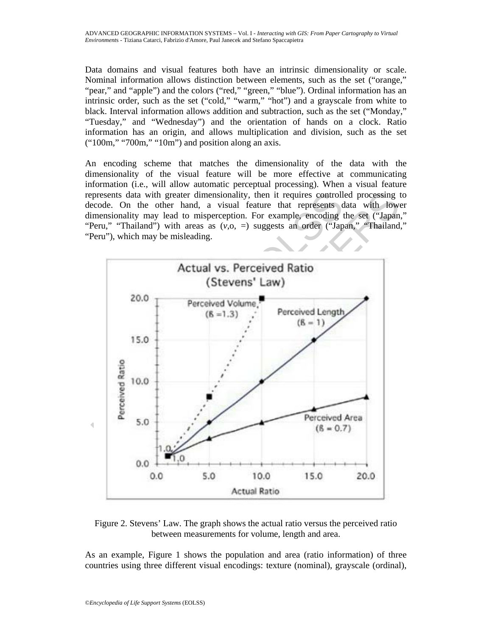Data domains and visual features both have an intrinsic dimensionality or scale. Nominal information allows distinction between elements, such as the set ("orange," "pear," and "apple") and the colors ("red," "green," "blue"). Ordinal information has an intrinsic order, such as the set ("cold," "warm," "hot") and a grayscale from white to black. Interval information allows addition and subtraction, such as the set ("Monday," "Tuesday," and "Wednesday") and the orientation of hands on a clock. Ratio information has an origin, and allows multiplication and division, such as the set  $("100m," "700m," "10m")$  and position along an axis.

An encoding scheme that matches the dimensionality of the data with the dimensionality of the visual feature will be more effective at communicating information (i.e., will allow automatic perceptual processing). When a visual feature represents data with greater dimensionality, then it requires controlled processing to decode. On the other hand, a visual feature that represents data with lower dimensionality may lead to misperception. For example, encoding the set ("Japan," "Peru," "Thailand") with areas as  $(v, o, =)$  suggests an order ("Japan," "Thailand," "Peru"), which may be misleading.



Figure 2. Stevens' Law. The graph shows the actual ratio versus the perceived ratio between measurements for volume, length and area.

As an example, Figure 1 shows the population and area (ratio information) of three countries using three different visual encodings: texture (nominal), grayscale (ordinal),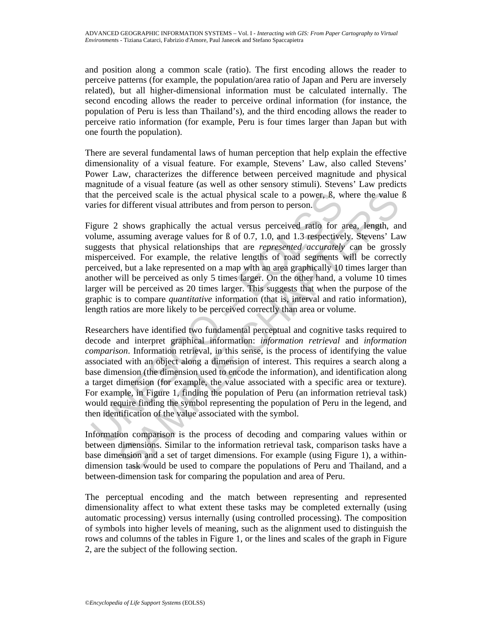and position along a common scale (ratio). The first encoding allows the reader to perceive patterns (for example, the population/area ratio of Japan and Peru are inversely related), but all higher-dimensional information must be calculated internally. The second encoding allows the reader to perceive ordinal information (for instance, the population of Peru is less than Thailand's), and the third encoding allows the reader to perceive ratio information (for example, Peru is four times larger than Japan but with one fourth the population).

There are several fundamental laws of human perception that help explain the effective dimensionality of a visual feature. For example, Stevens' Law, also called Stevens' Power Law, characterizes the difference between perceived magnitude and physical magnitude of a visual feature (as well as other sensory stimuli). Stevens' Law predicts that the perceived scale is the actual physical scale to a power, ß, where the value ß varies for different visual attributes and from person to person.

at the perceived scale is the actual physical scale to a power, B, w<br>aries for different visual attributes and from person to person.<br>
igure 2 shows graphically the actual versus perceived ratio for a<br>
blume, assuming aver perceived scale is the actual physical scale to a power,  $\beta$ , where the value of different visual attributes and from person to person.<br>
shows graphically the actual versus perceived ratio for area, length, an assuming a Figure 2 shows graphically the actual versus perceived ratio for area, length, and volume, assuming average values for ß of 0.7, 1.0, and 1.3 respectively. Stevens' Law suggests that physical relationships that are *represented accurately* can be grossly misperceived. For example, the relative lengths of road segments will be correctly perceived, but a lake represented on a map with an area graphically 10 times larger than another will be perceived as only 5 times larger. On the other hand, a volume 10 times larger will be perceived as 20 times larger. This suggests that when the purpose of the graphic is to compare *quantitative* information (that is, interval and ratio information), length ratios are more likely to be perceived correctly than area or volume.

Researchers have identified two fundamental perceptual and cognitive tasks required to decode and interpret graphical information: *information retrieval* and *information comparison*. Information retrieval, in this sense, is the process of identifying the value associated with an object along a dimension of interest. This requires a search along a base dimension (the dimension used to encode the information), and identification along a target dimension (for example, the value associated with a specific area or texture). For example, in Figure 1, finding the population of Peru (an information retrieval task) would require finding the symbol representing the population of Peru in the legend, and then identification of the value associated with the symbol.

Information comparison is the process of decoding and comparing values within or between dimensions. Similar to the information retrieval task, comparison tasks have a base dimension and a set of target dimensions. For example (using Figure 1), a withindimension task would be used to compare the populations of Peru and Thailand, and a between-dimension task for comparing the population and area of Peru.

The perceptual encoding and the match between representing and represented dimensionality affect to what extent these tasks may be completed externally (using automatic processing) versus internally (using controlled processing). The composition of symbols into higher levels of meaning, such as the alignment used to distinguish the rows and columns of the tables in Figure 1, or the lines and scales of the graph in Figure 2, are the subject of the following section.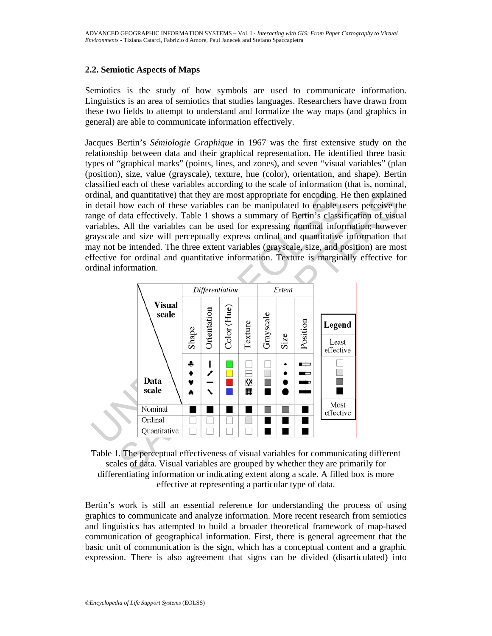### **2.2. Semiotic Aspects of Maps**

Semiotics is the study of how symbols are used to communicate information. Linguistics is an area of semiotics that studies languages. Researchers have drawn from these two fields to attempt to understand and formalize the way maps (and graphics in general) are able to communicate information effectively.

Jacques Bertin's *Sémiologie Graphique* in 1967 was the first extensive study on the relationship between data and their graphical representation. He identified three basic types of "graphical marks" (points, lines, and zones), and seven "visual variables" (plan (position), size, value (grayscale), texture, hue (color), orientation, and shape). Bertin classified each of these variables according to the scale of information (that is, nominal, ordinal, and quantitative) that they are most appropriate for encoding. He then explained in detail how each of these variables can be manipulated to enable users perceive the range of data effectively. Table 1 shows a summary of Bertin's classification of visual variables. All the variables can be used for expressing nominal information; however grayscale and size will perceptually express ordinal and quantitative information that may not be intended. The three extent variables (grayscale, size, and position) are most effective for ordinal and quantitative information. Texture is marginally effective for ordinal information.





Bertin's work is still an essential reference for understanding the process of using graphics to communicate and analyze information. More recent research from semiotics and linguistics has attempted to build a broader theoretical framework of map-based communication of geographical information. First, there is general agreement that the basic unit of communication is the sign, which has a conceptual content and a graphic expression. There is also agreement that signs can be divided (disarticulated) into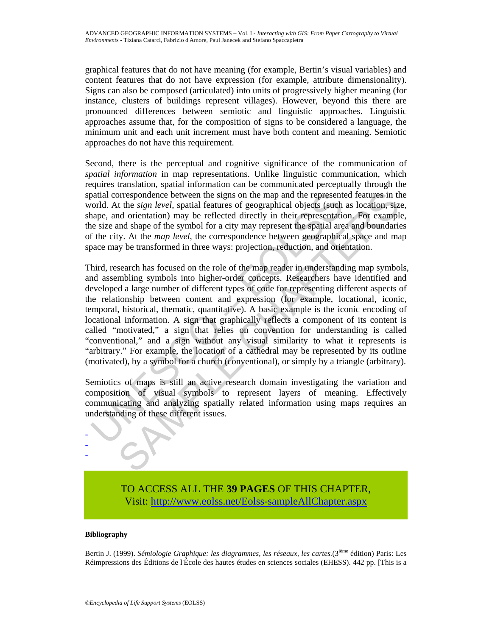graphical features that do not have meaning (for example, Bertin's visual variables) and content features that do not have expression (for example, attribute dimensionality). Signs can also be composed (articulated) into units of progressively higher meaning (for instance, clusters of buildings represent villages). However, beyond this there are pronounced differences between semiotic and linguistic approaches. Linguistic approaches assume that, for the composition of signs to be considered a language, the minimum unit and each unit increment must have both content and meaning. Semiotic approaches do not have this requirement.

Second, there is the perceptual and cognitive significance of the communication of *spatial information* in map representations. Unlike linguistic communication, which requires translation, spatial information can be communicated perceptually through the spatial correspondence between the signs on the map and the represented features in the world. At the *sign level*, spatial features of geographical objects (such as location, size, shape, and orientation) may be reflected directly in their representation. For example, the size and shape of the symbol for a city may represent the spatial area and boundaries of the city. At the *map level*, the correspondence between geographical space and map space may be transformed in three ways: projection, reduction, and orientation.

basilal correspondence between the signs on the map and the represent ordd. At the *sign level*, spatial features of geographical objects (such ange, and orientation) may be reflected directly in their representation e siz ortespondence between the signs on the map and the represented features in the sign  $leq$  the sign level, spatial features of geographical objects (such as location, size of devel, spatial features of geographical objects ( Third, research has focused on the role of the map reader in understanding map symbols, and assembling symbols into higher-order concepts. Researchers have identified and developed a large number of different types of code for representing different aspects of the relationship between content and expression (for example, locational, iconic, temporal, historical, thematic, quantitative). A basic example is the iconic encoding of locational information. A sign that graphically reflects a component of its content is called "motivated," a sign that relies on convention for understanding is called "conventional," and a sign without any visual similarity to what it represents is "arbitrary." For example, the location of a cathedral may be represented by its outline (motivated), by a symbol for a church (conventional), or simply by a triangle (arbitrary).

Semiotics of maps is still an active research domain investigating the variation and composition of visual symbols to represent layers of meaning. Effectively communicating and analyzing spatially related information using maps requires an understanding of these different issues.

> TO ACCESS ALL THE **39 PAGES** OF THIS CHAPTER, Visi[t: http://www.eolss.net/Eolss-sampleAllChapter.aspx](https://www.eolss.net/ebooklib/sc_cart.aspx?File=E6-72-02)

### **Bibliography**

- - -

Bertin J. (1999). *Sémiologie Graphique: les diagrammes, les réseaux, les cartes.*(3ième édition) Paris: Les Réimpressions des Éditions de l'École des hautes études en sciences sociales (EHESS). 442 pp. [This is a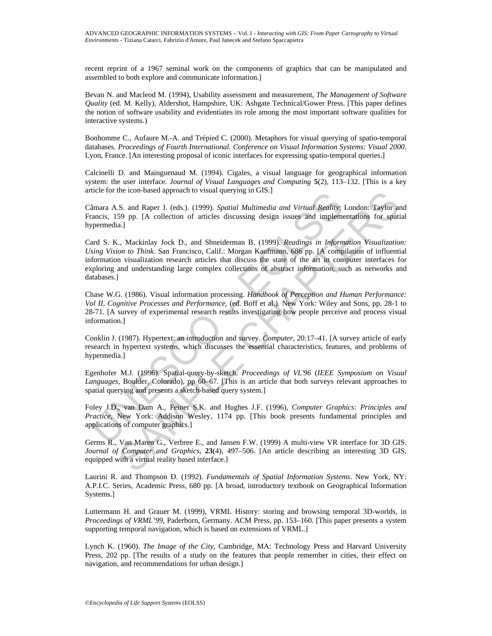recent reprint of a 1967 seminal work on the components of graphics that can be manipulated and assembled to both explore and communicate information.]

Bevan N. and Macleod M. (1994), Usability assessment and measurement, *The Management of Software Quality* (ed. M. Kelly), Aldershot, Hampshire, UK: Ashgate Technical/Gower Press. [This paper defines the notion of software usability and evidentiates its role among the most important software qualities for interactive systems.)

Bonhomme C., Aufaure M.-A. and Trépied C. (2000). Metaphors for visual querying of spatio-temporal databases. *Proceedings of Fourth International. Conference on Visual Information Systems: Visual 2000*. Lyon, France. [An interesting proposal of iconic interfaces for expressing spatio-temporal queries.]

Calcinelli D. and Mainguenaud M. (1994). Cigales, a visual language for geographical information system: the user interface. *Journal of Visual Languages and Computing* **5**(2), 113–132. [This is a key article for the icon-based approach to visual querying in GIS.]

Câmara A.S. and Raper J. (eds.). (1999). *Spatial Multimedia and Virtual Reality*: London: Taylor and Francis, 159 pp. [A collection of articles discussing design issues and implementations for spatial hypermedia.]

the form the total Rapple and Hetying in Gis.]<br>
finara A.S. and Raper J. (eds.). (1999). *Spatial Multimedia and Virtual Reality*:<br>
rancis, 159 pp. [A collection of articles discussing design issues and implementes). 159 p me con-oased approach to visual querying in GLS.]<br>
S. and Raper J. (eds.). (1999). Spatial Multimedia and Virtual Realting London: Taylor and<br>
S. 9 pp. [A collection of articles discussing design issues and implementations Card S. K., Mackinlay Jock D., and Shneiderman B. (1999). *Readings in Information Visualization: Using Vision to Think*. San Francisco, Calif.: Morgan Kaufmann, 686 pp. [A compilation of influential information visualization research articles that discuss the state of the art in computer interfaces for exploring and understanding large complex collections of abstract information, such as networks and databases.]

Chase W.G. (1986). Visual information processing. *Handbook of Perception and Human Performance: Vol II, Cognitive Processes and Performance,* (ed. Boff et al.). New York: Wiley and Sons, pp. 28-1 to 28-71. [A survey of experimental research results investigating how people perceive and process visual information.]

Conklin J. (1987). Hypertext: an introduction and survey. *Computer*, 20:17–41. [A survey article of early research in hypertext systems, which discusses the essential characteristics, features, and problems of hypermedia.]

Egenhofer M.J. (1996). Spatial-query-by-sketch. *Proceedings of VL'96* (*IEEE Symposium on Visual Languages*, Boulder, Colorado)*,* pp 60–67. [This is an article that both surveys relevant approaches to spatial querying and presents a sketch-based query system.]

Foley J.D., van Dam A., Feiner S.K. and Hughes J.F. (1996), *Computer Graphics: Principles and Practice*, New York: Addison Wesley, 1174 pp. [This book presents fundamental principles and applications of computer graphics.]

Germs R., Van Maren G., Verbree E., and Jansen F.W. (1999) A multi-view VR interface for 3D GIS. *Journal of Computer and Graphics*, **23**(4), 497–506. [An article describing an interesting 3D GIS, equipped with a virtual reality based interface.]

Laurini R. and Thompson D. (1992). *Fundamentals of Spatial Information Systems*. New York, NY: A.P.I.C. Series, Academic Press, 680 pp. [A broad, introductory textbook on Geographical Information Systems.]

Luttermann H. and Grauer M. (1999), VRML History: storing and browsing temporal 3D-worlds, in *Proceedings of VRML'99*, Paderborn, Germany. ACM Press, pp. 153–160. [This paper presents a system supporting temporal navigation, which is based on extensions of VRML.]

Lynch K. (1960). *The Image of the City,* Cambridge, MA: Technology Press and Harvard University Press, 202 pp. [The results of a study on the features that people remember in cities, their effect on navigation, and recommendations for urban design.]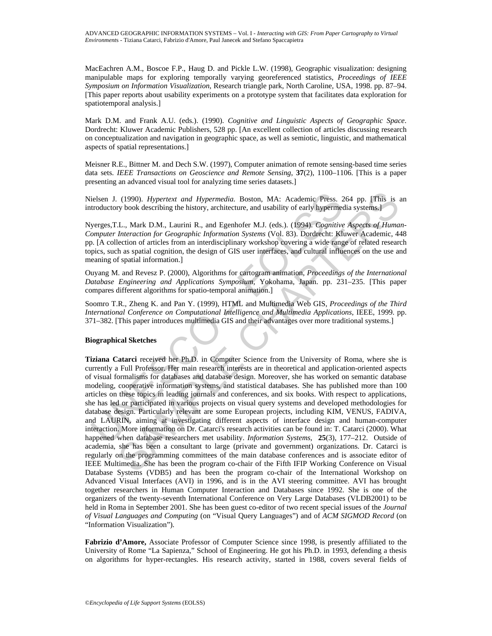MacEachren A.M., Boscoe F.P., Haug D. and Pickle L.W. (1998), Geographic visualization: designing manipulable maps for exploring temporally varying georeferenced statistics, *Proceedings of IEEE Symposium on Information Visualization*, Research triangle park, North Caroline, USA, 1998. pp. 87–94. [This paper reports about usability experiments on a prototype system that facilitates data exploration for spatiotemporal analysis.]

Mark D.M. and Frank A.U. (eds.). (1990). *Cognitive and Linguistic Aspects of Geographic Space*. Dordrecht: Kluwer Academic Publishers, 528 pp. [An excellent collection of articles discussing research on conceptualization and navigation in geographic space, as well as semiotic, linguistic, and mathematical aspects of spatial representations.]

Meisner R.E., Bittner M. and Dech S.W. (1997), Computer animation of remote sensing-based time series data sets. *IEEE Transactions on Geoscience and Remote Sensing*, **37**(2), 1100–1106. [This is a paper presenting an advanced visual tool for analyzing time series datasets.]

Nielsen J. (1990). *Hypertext and Hypermedia.* Boston, MA: Academic Press. 264 pp. [This is an introductory book describing the history, architecture, and usability of early hypermedia systems.]

Nyerges,T.L., Mark D.M., Laurini R., and Egenhofer M.J. (eds.). (1994). *Cognitive Aspects of Human-Computer Interaction for Geographic Information Systems* (Vol. 83). Dordrecht: Kluwer Academic, 448 pp. [A collection of articles from an interdisciplinary workshop covering a wide range of related research topics, such as spatial cognition, the design of GIS user interfaces, and cultural influences on the use and meaning of spatial information.]

Ouyang M. and Revesz P. (2000), Algorithms for cartogram animation, *Proceedings of the International Database Engineering and Applications Symposium*, Yokohama, Japan. pp. 231–235. [This paper compares different algorithms for spatio-temporal animation.]

Soomro T.R., Zheng K. and Pan Y. (1999), HTML and Multimedia Web GIS, *Proceedings of the Third International Conference on Computational Intelligence and Multimedia Applications*, IEEE, 1999. pp. 371–382. [This paper introduces multimedia GIS and their advantages over more traditional systems.]

#### **Biographical Sketches**

ielsen J. (1990). *Hypertext and Hypermedia*. Boston, MA: Academic Press. 2<br>troductory book describing the history, architecture, and usability of early hypermec<br>yerges, T.L., Mark D.M., Laurini R., and Egenhofer M.J. (eds (1990). *Hypertext and Hypermedia*. Boston, MA: Academic Press. 264 pp. [This is a<br>y book describing the history, architecture, and usability of early hypermedia systems.]<br>L., Mark D.M., Laurini R., and Egenhofer M.J. (ed **Tiziana Catarci** received her Ph.D. in Computer Science from the University of Roma, where she is currently a Full Professor. Her main research interests are in theoretical and application-oriented aspects of visual formalisms for databases and database design. Moreover, she has worked on semantic database modeling, cooperative information systems, and statistical databases. She has published more than 100 articles on these topics in leading journals and conferences, and six books. With respect to applications, she has led or participated in various projects on visual query systems and developed methodologies for database design. Particularly relevant are some European projects, including KIM, VENUS, FADIVA, and LAURIN, aiming at investigating different aspects of interface design and human-computer interaction. More information on Dr. Catarci's research activities can be found in: T. Catarci (2000). What happened when database researchers met usability. *Information Systems*, **25**(3), 177–212. Outside of academia, she has been a consultant to large (private and government) organizations. Dr. Catarci is regularly on the programming committees of the main database conferences and is associate editor of IEEE Multimedia. She has been the program co-chair of the Fifth IFIP Working Conference on Visual Database Systems (VDB5) and has been the program co-chair of the International Workshop on Advanced Visual Interfaces (AVI) in 1996, and is in the AVI steering committee. AVI has brought together researchers in Human Computer Interaction and Databases since 1992. She is one of the organizers of the twenty-seventh International Conference on Very Large Databases (VLDB2001) to be held in Roma in September 2001. She has been guest co-editor of two recent special issues of the *Journal of Visual Languages and Computing* (on "Visual Query Languages") and of *ACM SIGMOD Record* (on "Information Visualization").

**Fabrizio d'Amore,** Associate Professor of Computer Science since 1998, is presently affiliated to the University of Rome "La Sapienza," School of Engineering. He got his Ph.D. in 1993, defending a thesis on algorithms for hyper-rectangles. His research activity, started in 1988, covers several fields of